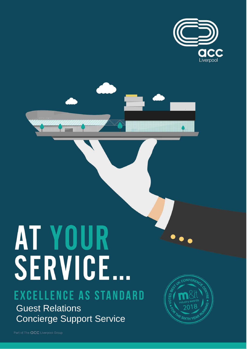

# AT YOUR<br>SERVICE...

## **EXCELLENCE AS STANDARD**

Guest Relations Concierge Support Service

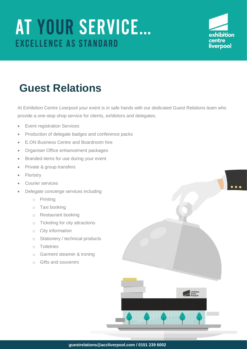

## **Guest Relations**

At Exhibition Centre Liverpool your event is in safe hands with our dedicated Guest Relations team who provide a one-stop shop service for clients, exhibitors and delegates.

- Event registration Services
- Production of delegate badges and conference packs
- E.ON Business Centre and Boardroom hire
- Organiser Office enhancement packages
- Branded items for use during your event
- Private & group transfers
- Floristry
- Courier services
- Delegate concierge services including
	- o Printing
	- o Taxi booking
	- o Restaurant booking
	- o Ticketing for city attractions
	- o City information
	- o Stationery / technical products
	- o Toiletries
	- o Garment steamer & ironing
	- o Gifts and souvenirs

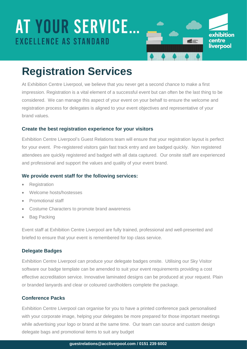

## **Registration Services**

At Exhibition Centre Liverpool, we believe that you never get a second chance to make a first impression. Registration is a vital element of a successful event but can often be the last thing to be considered. We can manage this aspect of your event on your behalf to ensure the welcome and registration process for delegates is aligned to your event objectives and representative of your brand values.

#### **Create the best registration experience for your visitors**

Exhibition Centre Liverpool's Guest Relations team will ensure that your registration layout is perfect for your event. Pre-registered visitors gain fast track entry and are badged quickly. Non registered attendees are quickly registered and badged with all data captured. Our onsite staff are experienced and professional and support the values and quality of your event brand.

### **We provide event staff for the following services:**

- Registration
- Welcome hosts/hostesses
- Promotional staff
- Costume Characters to promote brand awareness
- Bag Packing

Event staff at Exhibition Centre Liverpool are fully trained, professional and well-presented and briefed to ensure that your event is remembered for top class service.

#### **Delegate Badges**

Exhibition Centre Liverpool can produce your delegate badges onsite. Utilising our Sky Visitor software our badge template can be amended to suit your event requirements providing a cost effective accreditation service. Innovative laminated designs can be produced at your request. Plain or branded lanyards and clear or coloured cardholders complete the package.

### **Conference Packs**

Exhibition Centre Liverpool can organise for you to have a printed conference pack personalised with your corporate image, helping your delegates be more prepared for those important meetings while advertising your logo or brand at the same time. Our team can source and custom design delegate bags and promotional items to suit any budget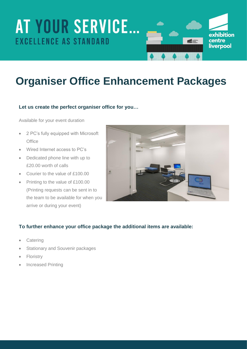

# **Organiser Office Enhancement Packages**

### **Let us create the perfect organiser office for you…**

Available for your event duration

- 2 PC's fully equipped with Microsoft **Office**
- Wired Internet access to PC's
- Dedicated phone line with up to £20.00 worth of calls
- Courier to the value of £100.00
- Printing to the value of £100.00 (Printing requests can be sent in to the team to be available for when you arrive or during your event)



#### **To further enhance your office package the additional items are available:**

- **Catering**
- Stationary and Souvenir packages
- Floristry
- Increased Printing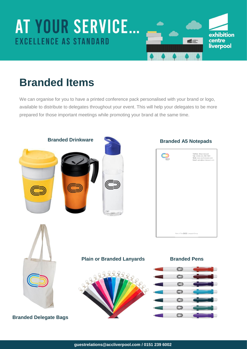

## **Branded Items**

We can organise for you to have a printed conference pack personalised with your brand or logo, available to distribute to delegates throughout your event. This will help your delegates to be more prepared for those important meetings while promoting your brand at the same time.

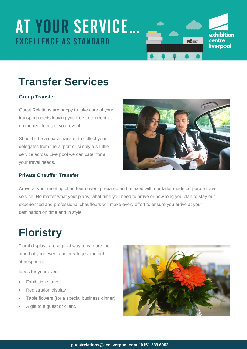

# **Transfer Services**

## **Group Transfer**

Guest Relations are happy to take care of your transport needs leaving you free to concentrate on the real focus of your event.

Should it be a coach transfer to collect your delegates from the airport or simply a shuttle service across Liverpool we can cater for all your travel needs.

### **Private Chauffer Transfer**



Arrive at your meeting chauffeur driven, prepared and relaxed with our tailor made corporate travel service. No matter what your plans, what time you need to arrive or how long you plan to stay our experienced and professional chauffeurs will make every effort to ensure you arrive at your destination on time and in style.

## **Floristry**

Floral displays are a great way to capture the mood of your event and create just the right atmosphere.

Ideas for your event:

- Exhibition stand
- Registration display
- Table flowers (for a special business dinner)
- A gift to a guest or client.

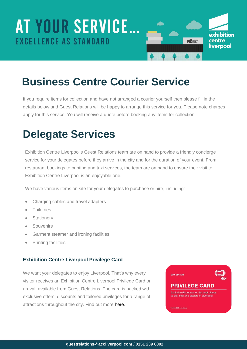

## **Business Centre Courier Service**

If you require items for collection and have not arranged a courier yourself then please fill in the details below and Guest Relations will be happy to arrange this service for you. Please note charges apply for this service. You will receive a quote before booking any items for collection.

## **Delegate Services**

Exhibition Centre Liverpool's Guest Relations team are on hand to provide a friendly concierge service for your delegates before they arrive in the city and for the duration of your event. From restaurant bookings to printing and taxi services, the team are on hand to ensure their visit to Exhibition Centre Liverpool is an enjoyable one.

We have various items on site for your delegates to purchase or hire, including:

- Charging cables and travel adapters
- **•** Toiletries
- **•** Stationery
- **•** Souvenirs
- Garment steamer and ironing facilities
- Printing facilities

#### **Exhibition Centre Liverpool Privilege Card**

We want your delegates to enjoy Liverpool. That's why every visitor receives an Exhibition Centre Liverpool Privilege Card on arrival, available from Guest Relations. The card is packed with exclusive offers, discounts and tailored privileges for a range of attractions throughout the city. Find out more [here.](https://www.accliverpool.com/visiting-us/delegate-services/delegate-card/)